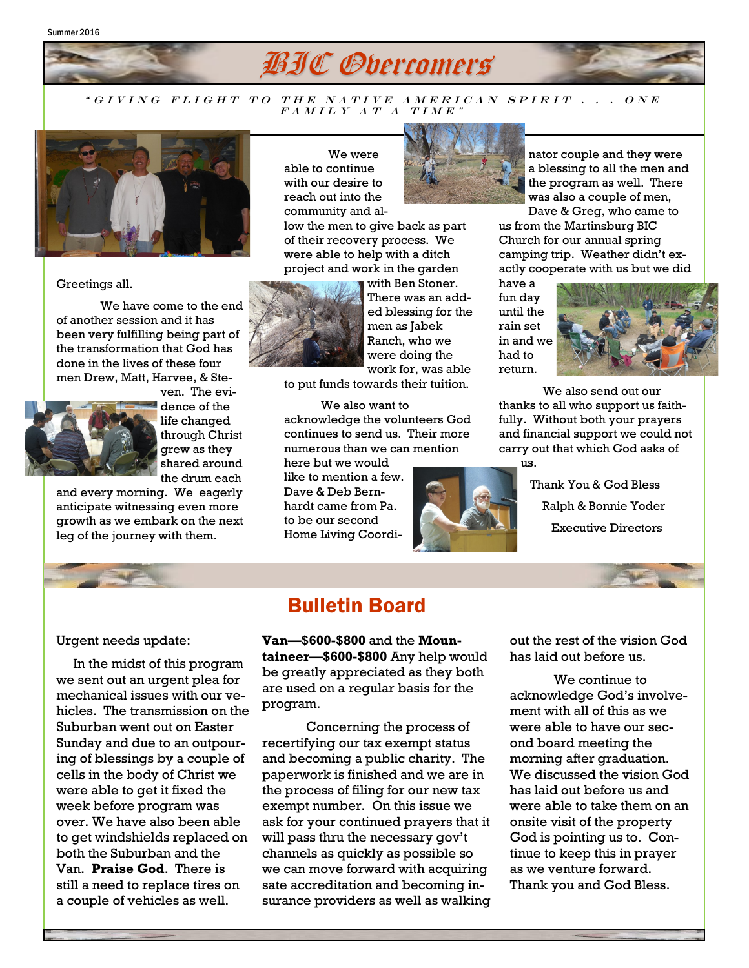

" GIVING FLIGHT TO THE NATIVE AMERICAN SPIRIT . . . ONE FAMILY AT A TIME'



Greetings all.

We have come to the end of another session and it has been very fulfilling being part of the transformation that God has done in the lives of these four men Drew, Matt, Harvee, & Ste-



ven. The evidence of the life changed through Christ grew as they shared around the drum each

and every morning. We eagerly anticipate witnessing even more growth as we embark on the next leg of the journey with them.

We were able to continue with our desire to reach out into the community and al-

low the men to give back as part of their recovery process. We were able to help with a ditch project and work in the garden



with Ben Stoner. There was an added blessing for the men as Jabek Ranch, who we were doing the work for, was able

to put funds towards their tuition.

 We also want to acknowledge the volunteers God continues to send us. Their more numerous than we can mention

here but we would like to mention a few. Dave & Deb Bernhardt came from Pa. to be our second Home Living Coordi-



nator couple and they were a blessing to all the men and the program as well. There was also a couple of men,

Dave & Greg, who came to us from the Martinsburg BIC Church for our annual spring camping trip. Weather didn't exactly cooperate with us but we did

have a fun day until the rain set in and we had to return.



We also send out our thanks to all who support us faithfully. Without both your prayers and financial support we could not carry out that which God asks of us.

> Thank You & God Bless Ralph & Bonnie Yoder Executive Directors

#### Urgent needs update:

 In the midst of this program we sent out an urgent plea for mechanical issues with our vehicles. The transmission on the Suburban went out on Easter Sunday and due to an outpouring of blessings by a couple of cells in the body of Christ we were able to get it fixed the week before program was over. We have also been able to get windshields replaced on both the Suburban and the Van. **Praise God**. There is still a need to replace tires on a couple of vehicles as well.

## Bulletin Board

**Van—\$600-\$800** and the **Mountaineer—\$600-\$800** Any help would be greatly appreciated as they both are used on a regular basis for the program.

Concerning the process of recertifying our tax exempt status and becoming a public charity. The paperwork is finished and we are in the process of filing for our new tax exempt number. On this issue we ask for your continued prayers that it will pass thru the necessary gov't channels as quickly as possible so we can move forward with acquiring sate accreditation and becoming insurance providers as well as walking out the rest of the vision God has laid out before us.

We continue to acknowledge God's involvement with all of this as we were able to have our second board meeting the morning after graduation. We discussed the vision God has laid out before us and were able to take them on an onsite visit of the property God is pointing us to. Continue to keep this in prayer as we venture forward. Thank you and God Bless.